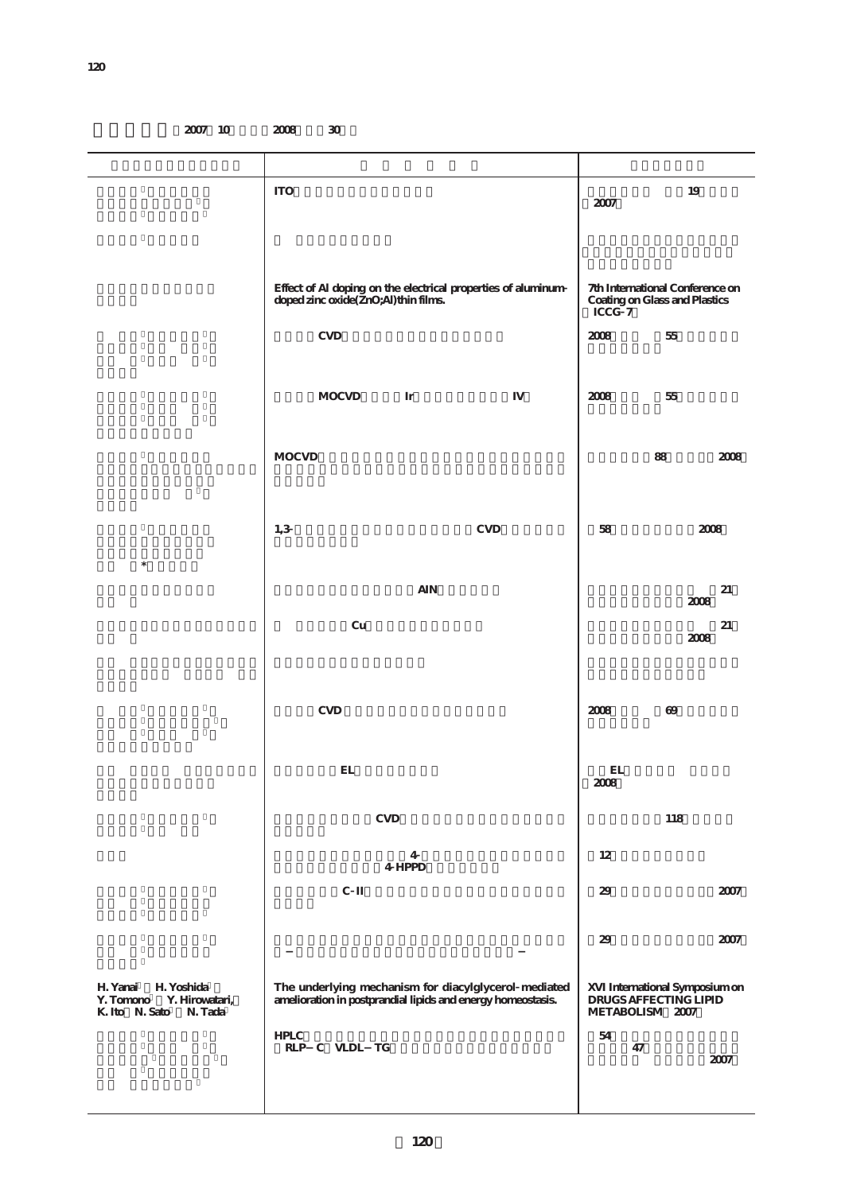**2007** 10 **2008** 30

|                                                                                    | $\rm ITO$                                                                                                           | 2007                                                                       | 19                                                      |
|------------------------------------------------------------------------------------|---------------------------------------------------------------------------------------------------------------------|----------------------------------------------------------------------------|---------------------------------------------------------|
|                                                                                    | Effect of Al doping on the electrical properties of aluminum                                                        |                                                                            |                                                         |
|                                                                                    | doped zinc oxide(ZnO;Al) thin films.                                                                                | 7th International Conference on<br>Coating on Glass and Plastics<br>ICCG 7 |                                                         |
|                                                                                    | <b>CVD</b>                                                                                                          | 2008                                                                       | $5\!$                                                   |
|                                                                                    | <b>MOCVD</b><br>Ir                                                                                                  | 2008                                                                       | 55                                                      |
|                                                                                    | <b>MOCVD</b>                                                                                                        |                                                                            | 88<br>2008                                              |
|                                                                                    | 1,3<br><b>CVD</b>                                                                                                   | 58                                                                         | $2008\,$                                                |
| $\ast$                                                                             | <b>AIN</b>                                                                                                          |                                                                            | 21                                                      |
|                                                                                    | Cu                                                                                                                  |                                                                            | 2008<br>$21\,$<br>$2008\,$                              |
|                                                                                    |                                                                                                                     |                                                                            |                                                         |
|                                                                                    | <b>CVD</b>                                                                                                          | 2008                                                                       | $69$                                                    |
|                                                                                    | $\mathbf{EL}$                                                                                                       | EL<br>$2008\,$                                                             |                                                         |
|                                                                                    | $\ensuremath{\mathrm{CVD}}$                                                                                         |                                                                            | 118                                                     |
|                                                                                    | 4<br>4 HPPD                                                                                                         | 12                                                                         |                                                         |
|                                                                                    | $\rm C\ II$                                                                                                         | 29                                                                         | 2007                                                    |
|                                                                                    |                                                                                                                     | 29                                                                         | 2007                                                    |
| H. Yoshida<br>H. Yanai<br>Y. Tomono<br>Y. Hirowatari,<br>K. Ito N. Sato<br>N. Tada | The underlying mechanism for diacylglycerol mediated<br>amelioration in postprandial lipids and energy homeostasis. | METABOLISM 2007                                                            | XVI International Symposium on<br>DRUGS AFFECTING LIPID |
|                                                                                    | HPLC<br>RLP C VLDL TG                                                                                               | $54\,$<br>47                                                               | 2007                                                    |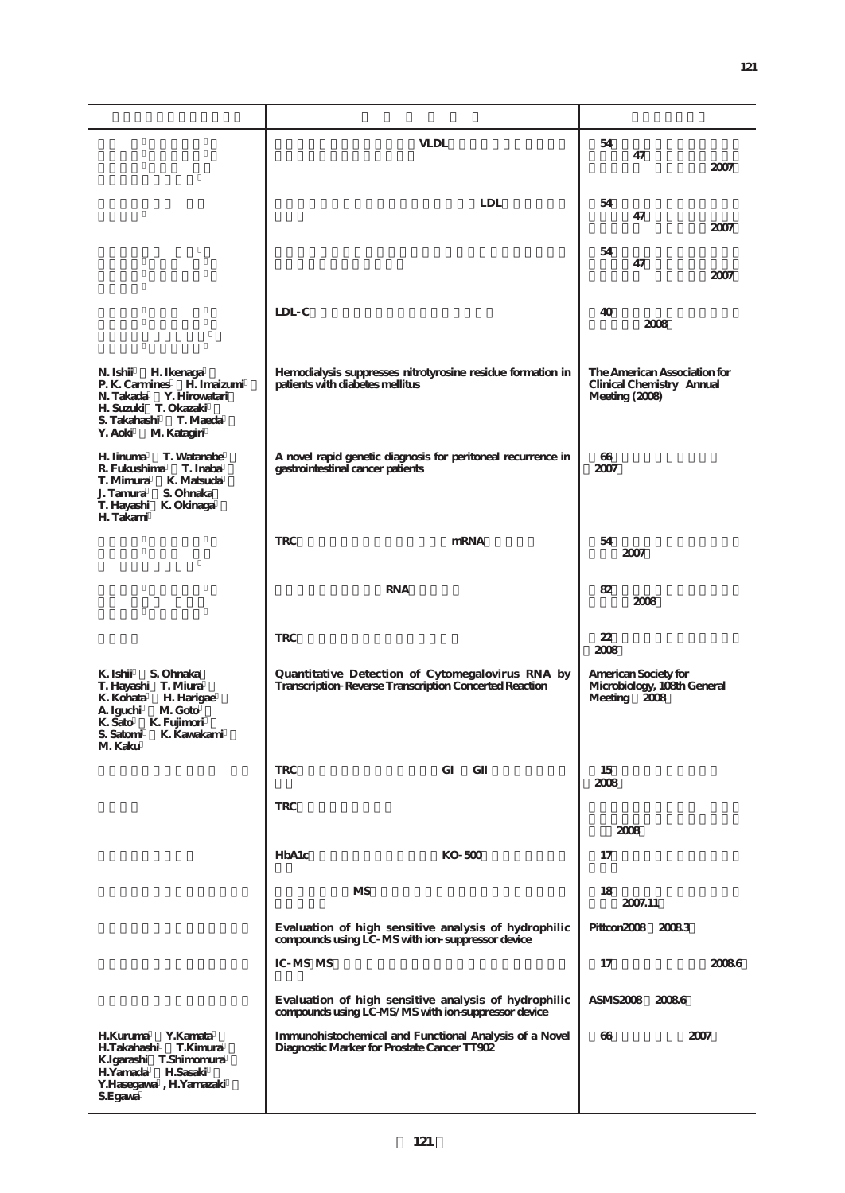|                                                      | <b>VLDL</b>                                                                                   | 54                                                        |
|------------------------------------------------------|-----------------------------------------------------------------------------------------------|-----------------------------------------------------------|
|                                                      |                                                                                               | 47                                                        |
|                                                      |                                                                                               | 2007                                                      |
|                                                      |                                                                                               |                                                           |
|                                                      | <b>LDL</b>                                                                                    | 54                                                        |
|                                                      |                                                                                               | 47                                                        |
|                                                      |                                                                                               | 2007                                                      |
|                                                      |                                                                                               | 54                                                        |
|                                                      |                                                                                               | 47                                                        |
|                                                      |                                                                                               | 2007                                                      |
|                                                      |                                                                                               |                                                           |
|                                                      | LDL C                                                                                         | 40                                                        |
|                                                      |                                                                                               | 2008                                                      |
|                                                      |                                                                                               |                                                           |
|                                                      |                                                                                               |                                                           |
| N. Ishii<br>H. Ikenaga<br>P. K. Carmines H. Imaizumi | Hemodialysis suppresses nitrotyrosine residue formation in<br>patients with diabetes mellitus | The American Association for<br>Clinical Chemistry Annual |
| Y. Hirowatari<br>N. Takada                           |                                                                                               | Meeting (2008)                                            |
| H. Suzuki T. Okazaki                                 |                                                                                               |                                                           |
| S. Takahashi<br>T. Maeda<br>Y. Aoki<br>M. Katagiri   |                                                                                               |                                                           |
|                                                      |                                                                                               |                                                           |
| H. Iinuma<br>T. Watanabe                             | A novel rapid genetic diagnosis for peritoneal recurrence in                                  | 66                                                        |
| T. Inaba<br>R. Fukushima<br>T. Mimura<br>K. Matsuda  | gastrointestinal cancer patients                                                              | 2007                                                      |
| J. Tamura<br>S. Ohnaka                               |                                                                                               |                                                           |
| T. Hayashi K. Okinaga                                |                                                                                               |                                                           |
| H. Takami                                            |                                                                                               |                                                           |
|                                                      | <b>TRC</b><br>mRNA                                                                            | 54                                                        |
|                                                      |                                                                                               | 2007                                                      |
|                                                      |                                                                                               |                                                           |
|                                                      | <b>RNA</b>                                                                                    | 82                                                        |
|                                                      |                                                                                               | 2008                                                      |
|                                                      |                                                                                               |                                                           |
|                                                      | <b>TRC</b>                                                                                    | 22                                                        |
|                                                      |                                                                                               | 2008                                                      |
| K. Ishii<br>S. Ohnaka                                | Quantitative Detection of Cytomegalovirus RNA by                                              | American Society for                                      |
| T. Hayashi T. Miura                                  | Transcription Reverse Transcription Concerted Reaction                                        | Microbiology, 108th General                               |
| K. Kohata<br>H. Harigae                              |                                                                                               | Meeting 2008                                              |
| M. Goto<br>A. Iguchi<br>K. Sato K. Fujimori          |                                                                                               |                                                           |
| S. Satomi<br>K. Kawakami                             |                                                                                               |                                                           |
| M. Kaku                                              |                                                                                               |                                                           |
|                                                      | <b>TRC</b><br>G<br>G                                                                          | 15                                                        |
|                                                      |                                                                                               | 2008                                                      |
|                                                      |                                                                                               |                                                           |
|                                                      | <b>TRC</b>                                                                                    |                                                           |
|                                                      |                                                                                               | 2008                                                      |
|                                                      | HbA1c<br>KO 500                                                                               | 17                                                        |
|                                                      |                                                                                               |                                                           |
|                                                      |                                                                                               |                                                           |
|                                                      | MS                                                                                            | 18<br>2007.11                                             |
|                                                      |                                                                                               |                                                           |
|                                                      | Evaluation of high sensitive analysis of hydrophilic                                          | Pittcon2008 20083                                         |
|                                                      | compounds using LC MS with ion suppressor device                                              |                                                           |
|                                                      | IC MS MS                                                                                      | 17<br>20086                                               |
|                                                      |                                                                                               |                                                           |
|                                                      | Evaluation of high sensitive analysis of hydrophilic                                          | ASMS2008 20086                                            |
|                                                      | compounds using LC-MS/MS with ion-suppressor device                                           |                                                           |
| <b>H.Kuruma</b><br>Y.Kamata                          | Immunohistochemical and Functional Analysis of a Novel                                        | 66<br>2007                                                |
| H.Takahashi<br>T.Kimura                              | Diagnostic Marker for Prostate Cancer TT902                                                   |                                                           |
| K.Igarashi T.Shimomura                               |                                                                                               |                                                           |
| H.Yamada<br>H.Sasaki<br>Y.Hasegawa, H.Yamazaki       |                                                                                               |                                                           |
| S.Egawa                                              |                                                                                               |                                                           |
|                                                      |                                                                                               |                                                           |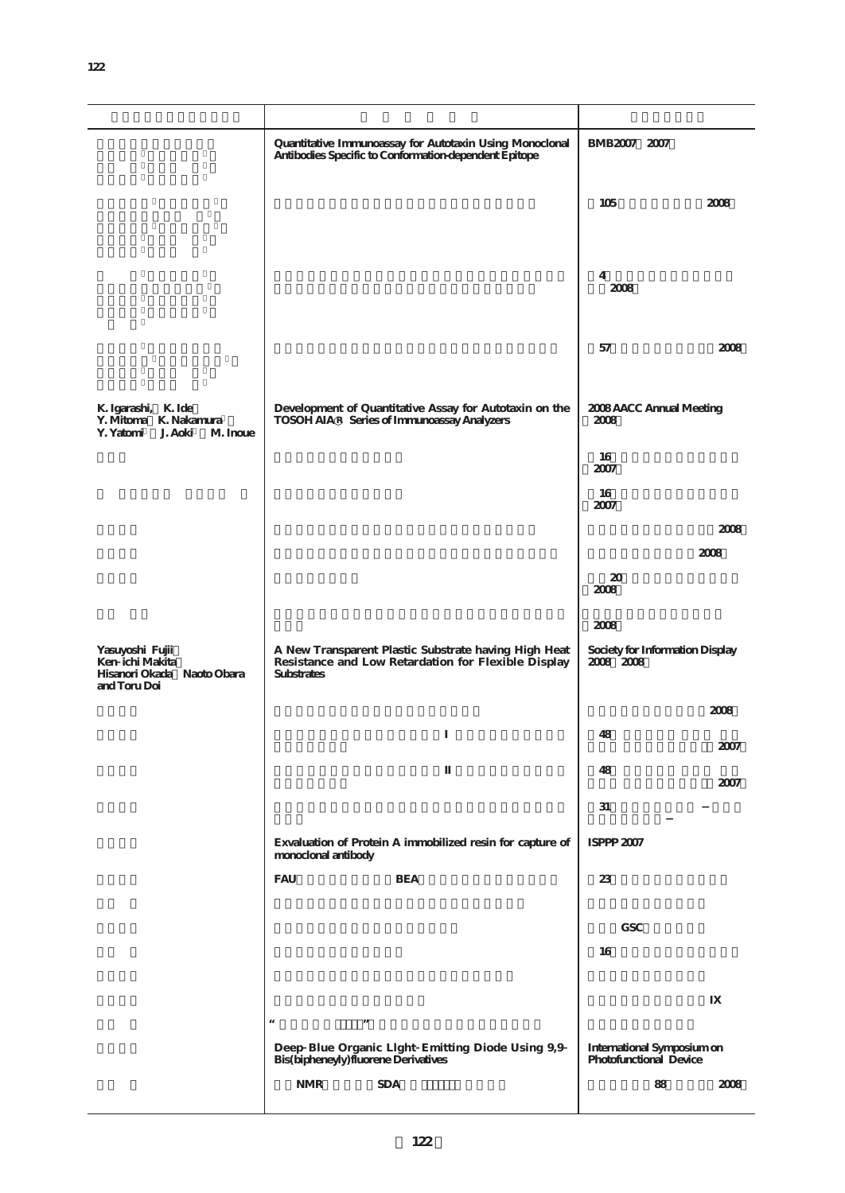|                                                                                  | Quantitative Immunoassay for Autotaxin Using Monoclonal<br>Antibodies Specific to Conformation-dependent Epitope                 | BMB2007 2007                                         |
|----------------------------------------------------------------------------------|----------------------------------------------------------------------------------------------------------------------------------|------------------------------------------------------|
|                                                                                  |                                                                                                                                  | 105<br>2008                                          |
|                                                                                  |                                                                                                                                  | 4<br>2008                                            |
|                                                                                  |                                                                                                                                  | 57<br>2008                                           |
| K. Igarashi, K. Ide<br>Y. Mitoma K. Nakamura<br>Y. Yatomi J. Aoki<br>M. Inoue    | Development of Quantitative Assay for Autotaxin on the<br>TOSOH AIA R Series of Immunoassay Analyzers                            | 2008 AACC Annual Meeting<br>2008                     |
|                                                                                  |                                                                                                                                  | 16<br>2007                                           |
|                                                                                  |                                                                                                                                  | 16                                                   |
|                                                                                  |                                                                                                                                  | 2007<br>2008                                         |
|                                                                                  |                                                                                                                                  | 2008                                                 |
|                                                                                  |                                                                                                                                  | 20<br>2008                                           |
|                                                                                  |                                                                                                                                  | 2008                                                 |
| Yasuyoshi Fujii<br>Ken ichi Makita<br>Hisanori Okada Naoto Obara<br>and Toru Doi | A New Transparent Plastic Substrate having High Heat<br>Resistance and Low Retardation for Flexible Display<br><b>Substrates</b> | Society for Information Display<br>2008 2008         |
|                                                                                  |                                                                                                                                  | 2008                                                 |
|                                                                                  |                                                                                                                                  | 48<br>2007                                           |
|                                                                                  |                                                                                                                                  | 48<br>2007                                           |
|                                                                                  |                                                                                                                                  | 31                                                   |
|                                                                                  | Exvaluation of Protein A immobilized resin for capture of<br>monoclonal antibody                                                 | ISPPP 2007                                           |
|                                                                                  | <b>FAU</b><br><b>BEA</b>                                                                                                         | 23                                                   |
|                                                                                  |                                                                                                                                  | <b>GSC</b>                                           |
|                                                                                  |                                                                                                                                  | 16                                                   |
|                                                                                  |                                                                                                                                  |                                                      |
|                                                                                  | $^{16}$<br>$, \,$<br>Deep Blue Organic Llght Emitting Diode Using 9,9<br>Bis(bipheneyly) fluorene Derivatives                    | International Symposium on<br>Photofunctional Device |
|                                                                                  |                                                                                                                                  |                                                      |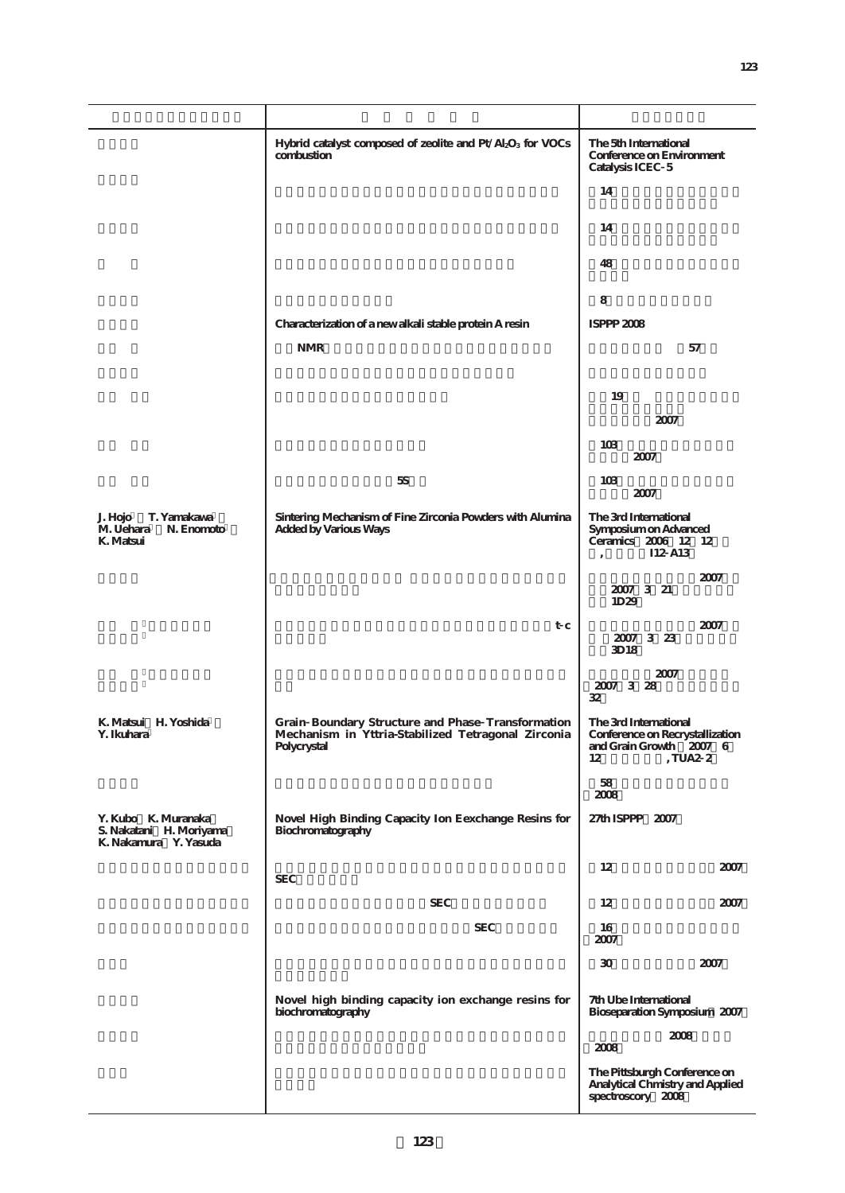|                                                                         | Hybrid catalyst composed of zeolite and Pt/Al <sub>2</sub> O <sub>3</sub> for VOCs<br>combustion                       | The 5th International<br>Conference on Environment<br>Catalysis ICEC 5                                   |  |
|-------------------------------------------------------------------------|------------------------------------------------------------------------------------------------------------------------|----------------------------------------------------------------------------------------------------------|--|
|                                                                         |                                                                                                                        | 14                                                                                                       |  |
|                                                                         |                                                                                                                        | 14                                                                                                       |  |
|                                                                         |                                                                                                                        | 48                                                                                                       |  |
|                                                                         |                                                                                                                        | 8                                                                                                        |  |
|                                                                         | Characterization of a new alkali stable protein A resin                                                                | ISPPP 2008                                                                                               |  |
|                                                                         | <b>NMR</b>                                                                                                             | 57                                                                                                       |  |
|                                                                         |                                                                                                                        | 19                                                                                                       |  |
|                                                                         |                                                                                                                        | 2007                                                                                                     |  |
|                                                                         |                                                                                                                        | 103<br>2007                                                                                              |  |
|                                                                         | 5S                                                                                                                     | 10 <sub>3</sub><br>2007                                                                                  |  |
| J. Hojo<br>T. Yamakawa<br>M. Uehara<br>N. Enomoto<br>K. Matsui          | Sintering Mechanism of Fine Zirconia Powders with Alumina<br><b>Added by Various Ways</b>                              | The 3rd International<br>Symposium on Advanced<br>Ceramics 2006 12 12<br>I12 A13                         |  |
|                                                                         |                                                                                                                        | 2007<br>2007 3 21<br>1D29                                                                                |  |
|                                                                         | t c                                                                                                                    | 2007<br>2007 3 23<br>3D <sub>18</sub>                                                                    |  |
|                                                                         |                                                                                                                        | 2007<br>2007 3 28<br>32                                                                                  |  |
| K. Matsui H. Yoshida<br>Y. Ikuhara                                      | Grain Boundary Structure and Phase Transformation<br>Mechanism in Yttria-Stabilized Tetragonal Zirconia<br>Polycrystal | The 3rd International<br>Conference on Recrystallization<br>and Grain Growth 2007 6<br>, TUA2 $\,$<br>12 |  |
|                                                                         |                                                                                                                        | 58<br>$2008\,$                                                                                           |  |
| Y. Kubo K. Muranaka<br>S. Nakatani H. Moriyama<br>K. Nakamura Y. Yasuda | Novel High Binding Capacity Ion Eexchange Resins for<br>Biochromatography                                              | 27th ISPPP 2007                                                                                          |  |
|                                                                         | <b>SEC</b>                                                                                                             | 12<br>2007                                                                                               |  |
|                                                                         | <b>SEC</b>                                                                                                             | 12<br>2007                                                                                               |  |
|                                                                         | <b>SEC</b>                                                                                                             | 16<br>2007                                                                                               |  |
|                                                                         |                                                                                                                        | $30\,$<br>2007                                                                                           |  |
|                                                                         | Novel high binding capacity ion exchange resins for<br>biochromatography                                               | 7th Ube International<br>Bioseparation Symposium 2007<br>2008<br>2008                                    |  |
|                                                                         |                                                                                                                        |                                                                                                          |  |
|                                                                         |                                                                                                                        | The Pittsburgh Conference on<br>Analytical Chmistry and Applied<br>spectroscory 2008                     |  |